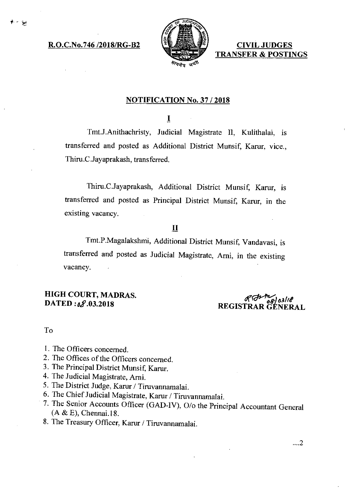**R.O.C.No.746 /2018/RG-B2** 



**CIVIL JUDGES TRANSFER & POSTINGS** 

### **NOTIFICATION No. 37 / 2018**

 $\mathbf I$ 

Tmt.J.Anithachristy, Judicial Magistrate II, Kulithalai, is transferred and posted as Additional District Munsif, Karur, vice., Thiru.C.Jayaprakash, transferred.

Thini.C.Jayaprakash, Additional District Munsif, Karur, is transferred and posted as Principal District Munsif, Karur, in the existing vacancy.

## **II**

Tmt.P.Magalakshmi, Additional District Munsif, Vandavasi, is transferred and posted as Judicial Magistrate, Arni, in the existing vacancy.

**HIGH COURT, MADRAS.**<br>**DATED:***of*.03.2018

**DATED:** 09.03.2018<br> **DATED:** 09.03.2018 **REGISTRAR GENERAL** 

#### To

- I. The Officers concerned.
- 2. The Offices of the Officers concerned.
- 3. The Principal District Munsif, Karur.
- 4. The Judicial Magistrate, Arni.
- 5. The District Judge, Karur / Tiruvannamalai.
- 6. The Chief Judicial Magistrate, Karur / Tiruvannamalai.
- 7. The Senior Accounts Officer (GAD-IV), 0/o the Principal Accountant General (A & E), Chennai.18.
- 8. The Treasury Officer, Karur / Tiruvannamalai.

...2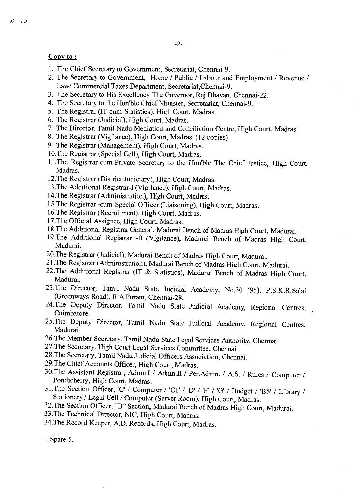#### Copy to:

- 1. The Chief Secretary to Government, Secretariat, Chennai-9.
- 2. The Secretary to Government, Home / Public / Labour and Employment / Revenue / Law/ Commercial Taxes Department, Secretariat,Chennai-9.

 $\blacksquare$ 

- 3. The Secretary to His Excellency The Governor, Raj Bhavan, Chennai-22.
- 4. The Secretary to the Hon'ble Chief Minister, Secretariat, Chennai-9.
- 5. The Registrar (IT-cum-Statistics), High Court, Madras.
- 6. The Registrar (Judicial), High Court, Madras.
- 7. The Director, Tamil Nadu Mediation and Conciliation Centre, High Court, Madras.
- 8. The Registrar (Vigilance), High Court, Madras. (12 copies)
- 9. The Registrar (Management), High Court, Madras.
- 10.The Registrar (Special Cell), High Court, Madras.
- 11.The Registrar-cum-Private Secretary to the Hon'ble The Chief Justice, High Court, Madras.
- 12.The Registrar (District Judiciary), High Court, Madras.
- 13.The Additional Registrar-I (Vigilance), High Court, Madras.
- 14.The Registrar (Administration), High Court, Madras.
- 15.The Registrar -cum-Special Officer (Liaisoning), High Court, Madras.
- 16.The Registrar (Recruitment), High Court, Madras.
- 17.The Official Assignee, High Court, Madras.
- 18.The Additional Registrar General, Madurai Bench of Madras High Court, Madurai.
- 19.The Additional Registrar -II (Vigilance), Madurai Bench of Madras High Court, Madurai.
- 20.The Registrar (Judicial), Madurai Bench of Madras High Court, Madurai.
- 21.The Registrar (Administration), Madurai Bench of Madras High Court, Madurai.
- 22.The Additional Registrar (IT & Statistics), Madurai Bench of Madras High Court, Madurai.
- 23.The Director, Tamil Nadu State Judicial Academy, No.30 (95), P.S.K.R.Salai (Greenways Road), R.A.Puram, Chennai-28.
- 24.The Deputy Director, Tamil Nadu State Judicial Academy, Regional Centres, Coimbatore.
- 25.The Deputy Director, Tamil Nadu State Judicial Academy, Regional Centres, Madurai.
- 26.The Member Secretary, Tamil Nadu State Legal Services Authority, Chennai.
- 27.The Secretary, High Court Legal Services Committee, Chennai.
- 28.The Secretary, Tamil Nadu Judicial Officers Association, Chennai.
- 29.The Chief Accounts Officer, High Court, Madras.
- 30.The Assistant Registrar, Admn.I / Admn.II / Per.Admn. / A.S. / Rules / Computer! Pondicherry, High Court, Madras.
- 31.The Section Officer, 'C' / Computer / 'Cl / 'D' / 'F' / 'G' / Budget / 'B5' / Library / Stationery / Legal Cell / Computer (Server Room), High Court, Madras.
- 32.The Section Officer, "B" Section, Madurai Bench of Madras High Court, Madurai.
- 33.The Technical Director, NIC, High Court, Madras.
- 34.The Record Keeper, A.D. Records, High Court, Madras.

+ Spare 5.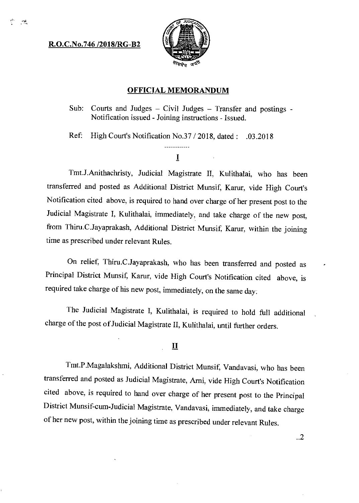### **R.O.C.No.746 /2018/RG-B2**

لمحتب



#### **OFFICIAL MEMORANDUM**

Sub: Courts and Judges — Civil Judges — Transfer and postings - Notification issued - Joining instructions - Issued.

Ref: High Court's Notification No.37 /2018, dated: .03.2018

# . . . . . . . . . . . . .  $\mathbf I$

Tmt.J.Anithachristy, Judicial Magistrate II, Kulithalai, who has been transferred and posted as Additional District Munsif, Karur, vide High Court's Notification cited above, is required to hand over charge of her present post to the Judicial Magistrate I, Kulithalai, immediately, and take charge of the new post, from Thiru.C.Jayaprakash, Additional District Munsif, Karur, within the joining time as prescribed under relevant Rules.

On relief, Thiru.C.Jayaprakash, who has been transferred and posted as Principal District Munsif, Karur, vide High Court's Notification cited above, is required take charge of his new post, immediately, on the same day.

The Judicial Magistrate I, Kulithalai, is required to hold full additional charge of the post of Judicial Magistrate II, Kulithalai, until further orders.

### $\mathbf{\underline{II}}$

Tmt.P.Magalakshmi, Additional District Munsif, Vandavasi, who has been transferred and posted as Judicial Magistrate, Arni, vide High Court's Notification cited above, is required to hand over charge of her present post to the Principal District Munsif-cum-Judicial Magistrate, Vandavasi, immediately, and take charge of her new post, within the joining time as prescribed under relevant Rules.

..2